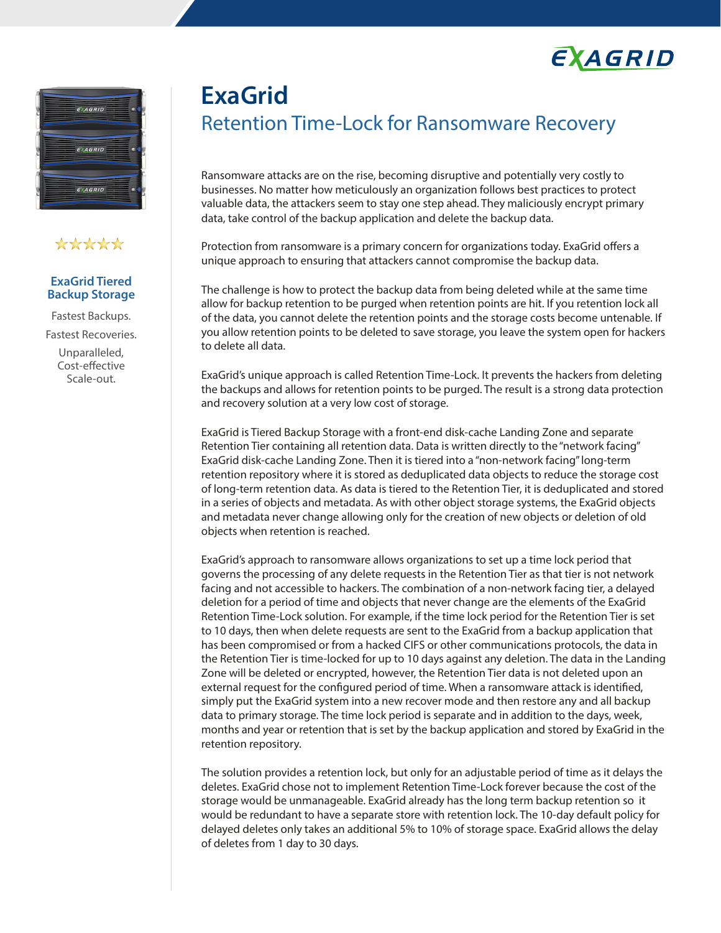



# \*\*\*\*\*

### **ExaGrid Tiered Backup Storage**

Fastest Backups. Fastest Recoveries. Unparalleled, Cost-effective Scale-out.

# **ExaGrid** Retention Time-Lock for Ransomware Recovery

Ransomware attacks are on the rise, becoming disruptive and potentially very costly to businesses. No matter how meticulously an organization follows best practices to protect valuable data, the attackers seem to stay one step ahead. They maliciously encrypt primary data, take control of the backup application and delete the backup data.

Protection from ransomware is a primary concern for organizations today. ExaGrid offers a unique approach to ensuring that attackers cannot compromise the backup data.

The challenge is how to protect the backup data from being deleted while at the same time allow for backup retention to be purged when retention points are hit. If you retention lock all of the data, you cannot delete the retention points and the storage costs become untenable. If you allow retention points to be deleted to save storage, you leave the system open for hackers to delete all data.

ExaGrid's unique approach is called Retention Time-Lock. It prevents the hackers from deleting the backups and allows for retention points to be purged. The result is a strong data protection and recovery solution at a very low cost of storage.

ExaGrid is Tiered Backup Storage with a front-end disk-cache Landing Zone and separate Retention Tier containing all retention data. Data is written directly to the "network facing" ExaGrid disk-cache Landing Zone. Then it is tiered into a "non-network facing" long-term retention repository where it is stored as deduplicated data objects to reduce the storage cost of long-term retention data. As data is tiered to the Retention Tier, it is deduplicated and stored in a series of objects and metadata. As with other object storage systems, the ExaGrid objects and metadata never change allowing only for the creation of new objects or deletion of old objects when retention is reached.

ExaGrid's approach to ransomware allows organizations to set up a time lock period that governs the processing of any delete requests in the Retention Tier as that tier is not network facing and not accessible to hackers. The combination of a non-network facing tier, a delayed deletion for a period of time and objects that never change are the elements of the ExaGrid Retention Time-Lock solution. For example, if the time lock period for the Retention Tier is set to 10 days, then when delete requests are sent to the ExaGrid from a backup application that has been compromised or from a hacked CIFS or other communications protocols, the data in the Retention Tier is time-locked for up to 10 days against any deletion. The data in the Landing Zone will be deleted or encrypted, however, the Retention Tier data is not deleted upon an external request for the configured period of time. When a ransomware attack is identified, simply put the ExaGrid system into a new recover mode and then restore any and all backup data to primary storage. The time lock period is separate and in addition to the days, week, months and year or retention that is set by the backup application and stored by ExaGrid in the retention repository.

The solution provides a retention lock, but only for an adjustable period of time as it delays the deletes. ExaGrid chose not to implement Retention Time-Lock forever because the cost of the storage would be unmanageable. ExaGrid already has the long term backup retention so it would be redundant to have a separate store with retention lock. The 10-day default policy for delayed deletes only takes an additional 5% to 10% of storage space. ExaGrid allows the delay of deletes from 1 day to 30 days.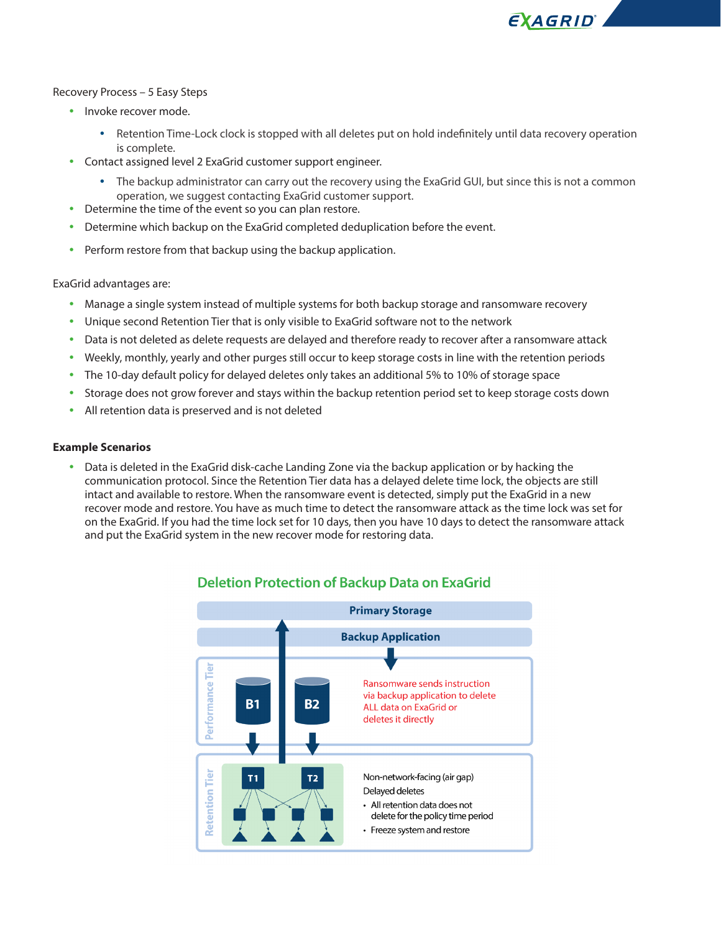EXAGRID'

#### Recovery Process – 5 Easy Steps

- Invoke recover mode.
	- Retention Time-Lock clock is stopped with all deletes put on hold indefinitely until data recovery operation is complete.
- Contact assigned level 2 ExaGrid customer support engineer.
	- The backup administrator can carry out the recovery using the ExaGrid GUI, but since this is not a common operation, we suggest contacting ExaGrid customer support.
- Determine the time of the event so you can plan restore.
- Determine which backup on the ExaGrid completed deduplication before the event.
- Perform restore from that backup using the backup application.

ExaGrid advantages are:

- Manage a single system instead of multiple systems for both backup storage and ransomware recovery
- Unique second Retention Tier that is only visible to ExaGrid software not to the network
- Data is not deleted as delete requests are delayed and therefore ready to recover after a ransomware attack
- Weekly, monthly, yearly and other purges still occur to keep storage costs in line with the retention periods
- The 10-day default policy for delayed deletes only takes an additional 5% to 10% of storage space
- Storage does not grow forever and stays within the backup retention period set to keep storage costs down
- All retention data is preserved and is not deleted

#### **Example Scenarios**

• Data is deleted in the ExaGrid disk-cache Landing Zone via the backup application or by hacking the communication protocol. Since the Retention Tier data has a delayed delete time lock, the objects are still intact and available to restore. When the ransomware event is detected, simply put the ExaGrid in a new recover mode and restore. You have as much time to detect the ransomware attack as the time lock was set for on the ExaGrid. If you had the time lock set for 10 days, then you have 10 days to detect the ransomware attack and put the ExaGrid system in the new recover mode for restoring data.



# **Deletion Protection of Backup Data on ExaGrid**